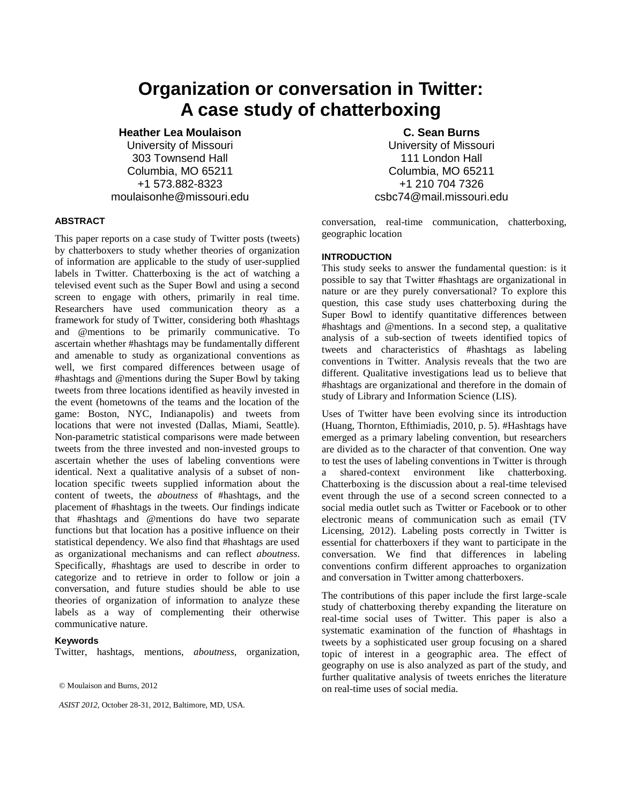# **Organization or conversation in Twitter: A case study of chatterboxing**

**Heather Lea Moulaison**

University of Missouri 303 Townsend Hall Columbia, MO 65211 +1 573.882-8323 moulaisonhe@missouri.edu

## **ABSTRACT**

This paper reports on a case study of Twitter posts (tweets) by chatterboxers to study whether theories of organization of information are applicable to the study of user-supplied labels in Twitter. Chatterboxing is the act of watching a televised event such as the Super Bowl and using a second screen to engage with others, primarily in real time. Researchers have used communication theory as a framework for study of Twitter, considering both #hashtags and @mentions to be primarily communicative. To ascertain whether #hashtags may be fundamentally different and amenable to study as organizational conventions as well, we first compared differences between usage of #hashtags and @mentions during the Super Bowl by taking tweets from three locations identified as heavily invested in the event (hometowns of the teams and the location of the game: Boston, NYC, Indianapolis) and tweets from locations that were not invested (Dallas, Miami, Seattle). Non-parametric statistical comparisons were made between tweets from the three invested and non-invested groups to ascertain whether the uses of labeling conventions were identical. Next a qualitative analysis of a subset of nonlocation specific tweets supplied information about the content of tweets, the *aboutness* of #hashtags, and the placement of #hashtags in the tweets. Our findings indicate that #hashtags and @mentions do have two separate functions but that location has a positive influence on their statistical dependency. We also find that #hashtags are used as organizational mechanisms and can reflect *aboutness*. Specifically, #hashtags are used to describe in order to categorize and to retrieve in order to follow or join a conversation, and future studies should be able to use theories of organization of information to analyze these labels as a way of complementing their otherwise communicative nature.

## **Keywords**

Twitter, hashtags, mentions, *aboutness*, organization,

*ASIST 2012,* October 28-31, 2012, Baltimore, MD, USA.

**C. Sean Burns** University of Missouri 111 London Hall Columbia, MO 65211 +1 210 704 7326 csbc74@mail.missouri.edu

conversation, real-time communication, chatterboxing, geographic location

## **INTRODUCTION**

This study seeks to answer the fundamental question: is it possible to say that Twitter #hashtags are organizational in nature or are they purely conversational? To explore this question, this case study uses chatterboxing during the Super Bowl to identify quantitative differences between #hashtags and @mentions. In a second step, a qualitative analysis of a sub-section of tweets identified topics of tweets and characteristics of #hashtags as labeling conventions in Twitter. Analysis reveals that the two are different. Qualitative investigations lead us to believe that #hashtags are organizational and therefore in the domain of study of Library and Information Science (LIS).

Uses of Twitter have been evolving since its introduction (Huang, Thornton, Efthimiadis, 2010, p. 5). #Hashtags have emerged as a primary labeling convention, but researchers are divided as to the character of that convention. One way to test the uses of labeling conventions in Twitter is through a shared-context environment like chatterboxing. Chatterboxing is the discussion about a real-time televised event through the use of a second screen connected to a social media outlet such as Twitter or Facebook or to other electronic means of communication such as email (TV Licensing, 2012). Labeling posts correctly in Twitter is essential for chatterboxers if they want to participate in the conversation. We find that differences in labeling conventions confirm different approaches to organization and conversation in Twitter among chatterboxers.

The contributions of this paper include the first large-scale study of chatterboxing thereby expanding the literature on real-time social uses of Twitter. This paper is also a systematic examination of the function of #hashtags in tweets by a sophisticated user group focusing on a shared topic of interest in a geographic area. The effect of geography on use is also analyzed as part of the study, and further qualitative analysis of tweets enriches the literature on real-time uses of social media. © Moulaison and Burns, 2012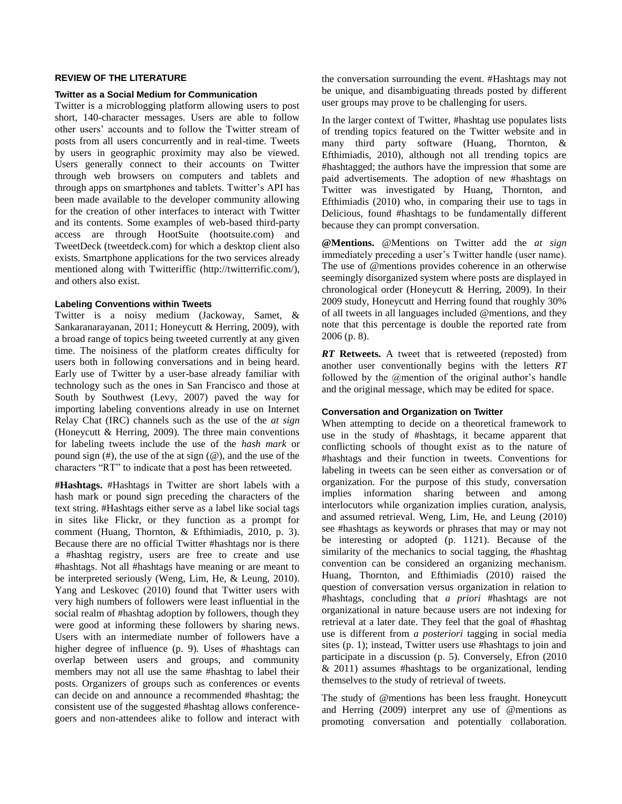# **REVIEW OF THE LITERATURE**

# **Twitter as a Social Medium for Communication**

Twitter is a microblogging platform allowing users to post short, 140-character messages. Users are able to follow other users' accounts and to follow the Twitter stream of posts from all users concurrently and in real-time. Tweets by users in geographic proximity may also be viewed. Users generally connect to their accounts on Twitter through web browsers on computers and tablets and through apps on smartphones and tablets. Twitter's API has been made available to the developer community allowing for the creation of other interfaces to interact with Twitter and its contents. Some examples of web-based third-party access are through HootSuite (hootsuite.com) and TweetDeck (tweetdeck.com) for which a desktop client also exists. Smartphone applications for the two services already mentioned along with Twitteriffic (http://twitterrific.com/), and others also exist.

## **Labeling Conventions within Tweets**

Twitter is a noisy medium (Jackoway, Samet, & Sankaranarayanan, 2011; Honeycutt & Herring, 2009), with a broad range of topics being tweeted currently at any given time. The noisiness of the platform creates difficulty for users both in following conversations and in being heard. Early use of Twitter by a user-base already familiar with technology such as the ones in San Francisco and those at South by Southwest (Levy, 2007) paved the way for importing labeling conventions already in use on Internet Relay Chat (IRC) channels such as the use of the *at sign* (Honeycutt & Herring, 2009). The three main conventions for labeling tweets include the use of the *hash mark* or pound sign  $(\#)$ , the use of the at sign  $(\mathcal{Q})$ , and the use of the characters "RT" to indicate that a post has been retweeted.

**#Hashtags.** #Hashtags in Twitter are short labels with a hash mark or pound sign preceding the characters of the text string. #Hashtags either serve as a label like social tags in sites like Flickr, or they function as a prompt for comment (Huang, Thornton, & Efthimiadis, 2010, p. 3). Because there are no official Twitter #hashtags nor is there a #hashtag registry, users are free to create and use #hashtags. Not all #hashtags have meaning or are meant to be interpreted seriously (Weng, Lim, He, & Leung, 2010). Yang and Leskovec (2010) found that Twitter users with very high numbers of followers were least influential in the social realm of #hashtag adoption by followers, though they were good at informing these followers by sharing news. Users with an intermediate number of followers have a higher degree of influence (p. 9). Uses of #hashtags can overlap between users and groups, and community members may not all use the same #hashtag to label their posts. Organizers of groups such as conferences or events can decide on and announce a recommended #hashtag; the consistent use of the suggested #hashtag allows conferencegoers and non-attendees alike to follow and interact with the conversation surrounding the event. #Hashtags may not be unique, and disambiguating threads posted by different user groups may prove to be challenging for users.

In the larger context of Twitter, #hashtag use populates lists of trending topics featured on the Twitter website and in many third party software (Huang, Thornton, & Efthimiadis, 2010), although not all trending topics are #hashtagged; the authors have the impression that some are paid advertisements. The adoption of new #hashtags on Twitter was investigated by Huang, Thornton, and Efthimiadis (2010) who, in comparing their use to tags in Delicious, found #hashtags to be fundamentally different because they can prompt conversation.

**@Mentions.** @Mentions on Twitter add the *at sign* immediately preceding a user's Twitter handle (user name). The use of @mentions provides coherence in an otherwise seemingly disorganized system where posts are displayed in chronological order (Honeycutt & Herring, 2009). In their 2009 study, Honeycutt and Herring found that roughly 30% of all tweets in all languages included @mentions, and they note that this percentage is double the reported rate from 2006 (p. 8).

*RT* **Retweets.** A tweet that is retweeted (reposted) from another user conventionally begins with the letters *RT* followed by the @mention of the original author's handle and the original message, which may be edited for space.

# **Conversation and Organization on Twitter**

When attempting to decide on a theoretical framework to use in the study of #hashtags, it became apparent that conflicting schools of thought exist as to the nature of #hashtags and their function in tweets. Conventions for labeling in tweets can be seen either as conversation or of organization. For the purpose of this study, conversation implies information sharing between and among interlocutors while organization implies curation, analysis, and assumed retrieval. Weng, Lim, He, and Leung (2010) see #hashtags as keywords or phrases that may or may not be interesting or adopted (p. 1121). Because of the similarity of the mechanics to social tagging, the #hashtag convention can be considered an organizing mechanism. Huang, Thornton, and Efthimiadis (2010) raised the question of conversation versus organization in relation to #hashtags, concluding that *a priori* #hashtags are not organizational in nature because users are not indexing for retrieval at a later date. They feel that the goal of #hashtag use is different from *a posteriori* tagging in social media sites (p. 1); instead, Twitter users use #hashtags to join and participate in a discussion (p. 5). Conversely, Efron (2010 & 2011) assumes #hashtags to be organizational, lending themselves to the study of retrieval of tweets.

The study of @mentions has been less fraught. Honeycutt and Herring (2009) interpret any use of @mentions as promoting conversation and potentially collaboration.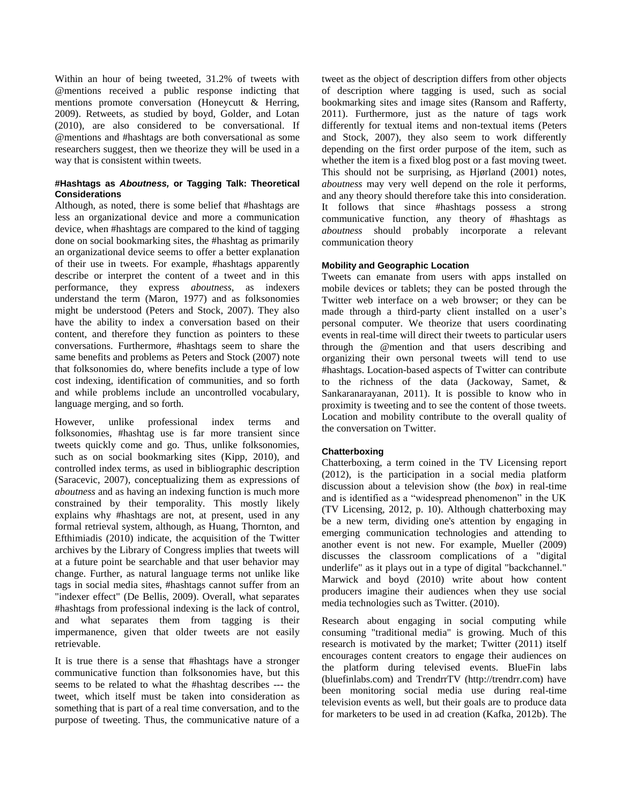Within an hour of being tweeted, 31.2% of tweets with @mentions received a public response indicting that mentions promote conversation (Honeycutt & Herring, 2009). Retweets, as studied by boyd, Golder, and Lotan (2010), are also considered to be conversational. If @mentions and #hashtags are both conversational as some researchers suggest, then we theorize they will be used in a way that is consistent within tweets.

# **#Hashtags as** *Aboutness,* **or Tagging Talk: Theoretical Considerations**

Although, as noted, there is some belief that #hashtags are less an organizational device and more a communication device, when #hashtags are compared to the kind of tagging done on social bookmarking sites, the #hashtag as primarily an organizational device seems to offer a better explanation of their use in tweets. For example, #hashtags apparently describe or interpret the content of a tweet and in this performance, they express *aboutness*, as indexers understand the term (Maron, 1977) and as folksonomies might be understood (Peters and Stock, 2007). They also have the ability to index a conversation based on their content, and therefore they function as pointers to these conversations. Furthermore, #hashtags seem to share the same benefits and problems as Peters and Stock (2007) note that folksonomies do, where benefits include a type of low cost indexing, identification of communities, and so forth and while problems include an uncontrolled vocabulary, language merging, and so forth.

However, unlike professional index terms and folksonomies, #hashtag use is far more transient since tweets quickly come and go. Thus, unlike folksonomies, such as on social bookmarking sites (Kipp, 2010), and controlled index terms, as used in bibliographic description (Saracevic, 2007), conceptualizing them as expressions of *aboutness* and as having an indexing function is much more constrained by their temporality. This mostly likely explains why #hashtags are not, at present, used in any formal retrieval system, although, as Huang, Thornton, and Efthimiadis (2010) indicate, the acquisition of the Twitter archives by the Library of Congress implies that tweets will at a future point be searchable and that user behavior may change. Further, as natural language terms not unlike like tags in social media sites, #hashtags cannot suffer from an "indexer effect" (De Bellis, 2009). Overall, what separates #hashtags from professional indexing is the lack of control, and what separates them from tagging is their impermanence, given that older tweets are not easily retrievable.

It is true there is a sense that #hashtags have a stronger communicative function than folksonomies have, but this seems to be related to what the #hashtag describes --- the tweet, which itself must be taken into consideration as something that is part of a real time conversation, and to the purpose of tweeting. Thus, the communicative nature of a tweet as the object of description differs from other objects of description where tagging is used, such as social bookmarking sites and image sites (Ransom and Rafferty, 2011). Furthermore, just as the nature of tags work differently for textual items and non-textual items (Peters and Stock, 2007), they also seem to work differently depending on the first order purpose of the item, such as whether the item is a fixed blog post or a fast moving tweet. This should not be surprising, as Hjørland (2001) notes, *aboutness* may very well depend on the role it performs, and any theory should therefore take this into consideration. It follows that since #hashtags possess a strong communicative function, any theory of #hashtags as *aboutness* should probably incorporate a relevant communication theory

# **Mobility and Geographic Location**

Tweets can emanate from users with apps installed on mobile devices or tablets; they can be posted through the Twitter web interface on a web browser; or they can be made through a third-party client installed on a user's personal computer. We theorize that users coordinating events in real-time will direct their tweets to particular users through the @mention and that users describing and organizing their own personal tweets will tend to use #hashtags. Location-based aspects of Twitter can contribute to the richness of the data (Jackoway, Samet, & Sankaranarayanan, 2011). It is possible to know who in proximity is tweeting and to see the content of those tweets. Location and mobility contribute to the overall quality of the conversation on Twitter.

# **Chatterboxing**

Chatterboxing, a term coined in the TV Licensing report (2012), is the participation in a social media platform discussion about a television show (the *box*) in real-time and is identified as a "widespread phenomenon" in the UK (TV Licensing, 2012, p. 10). Although chatterboxing may be a new term, dividing one's attention by engaging in emerging communication technologies and attending to another event is not new. For example, Mueller (2009) discusses the classroom complications of a "digital underlife" as it plays out in a type of digital "backchannel." Marwick and boyd (2010) write about how content producers imagine their audiences when they use social media technologies such as Twitter. (2010).

Research about engaging in social computing while consuming "traditional media" is growing. Much of this research is motivated by the market; Twitter (2011) itself encourages content creators to engage their audiences on the platform during televised events. BlueFin labs (bluefinlabs.com) and TrendrrTV (http://trendrr.com) have been monitoring social media use during real-time television events as well, but their goals are to produce data for marketers to be used in ad creation (Kafka, 2012b). The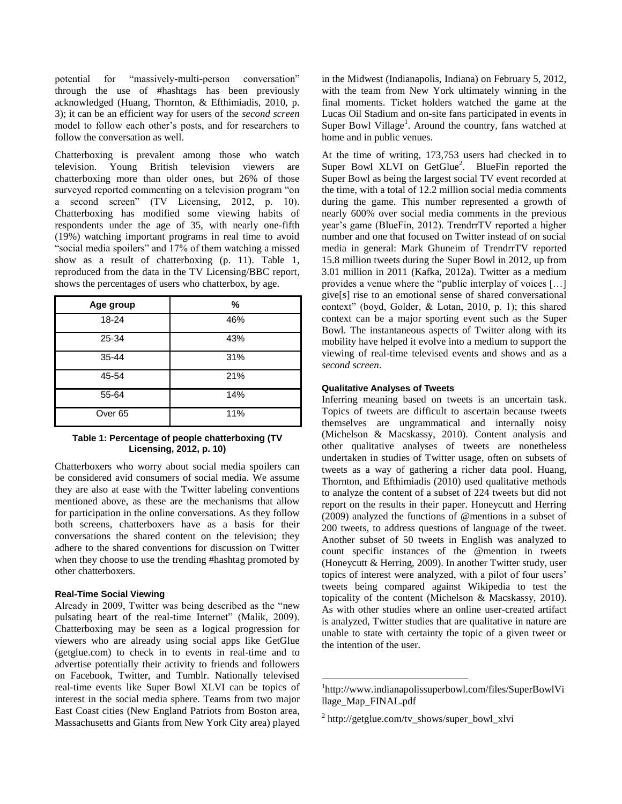potential for "massively-multi-person conversation" through the use of #hashtags has been previously acknowledged (Huang, Thornton, & Efthimiadis, 2010, p. 3); it can be an efficient way for users of the *second screen* model to follow each other's posts, and for researchers to follow the conversation as well.

Chatterboxing is prevalent among those who watch television. Young British television viewers are chatterboxing more than older ones, but 26% of those surveyed reported commenting on a television program "on a second screen" (TV Licensing, 2012, p. 10). Chatterboxing has modified some viewing habits of respondents under the age of 35, with nearly one-fifth (19%) watching important programs in real time to avoid "social media spoilers" and 17% of them watching a missed show as a result of chatterboxing (p. 11). Table 1, reproduced from the data in the TV Licensing/BBC report, shows the percentages of users who chatterbox, by age.

| Age group          | $\frac{9}{6}$ |
|--------------------|---------------|
| 18-24              | 46%           |
| 25-34              | 43%           |
| $35 - 44$          | 31%           |
| 45-54              | 21%           |
| 55-64              | 14%           |
| Over <sub>65</sub> | 11%           |

# **Table 1: Percentage of people chatterboxing (TV Licensing, 2012, p. 10)**

Chatterboxers who worry about social media spoilers can be considered avid consumers of social media. We assume they are also at ease with the Twitter labeling conventions mentioned above, as these are the mechanisms that allow for participation in the online conversations. As they follow both screens, chatterboxers have as a basis for their conversations the shared content on the television; they adhere to the shared conventions for discussion on Twitter when they choose to use the trending #hashtag promoted by other chatterboxers.

# **Real-Time Social Viewing**

Already in 2009, Twitter was being described as the "new pulsating heart of the real-time Internet" (Malik, 2009). Chatterboxing may be seen as a logical progression for viewers who are already using social apps like GetGlue (getglue.com) to check in to events in real-time and to advertise potentially their activity to friends and followers on Facebook, Twitter, and Tumblr. Nationally televised real-time events like Super Bowl XLVI can be topics of interest in the social media sphere. Teams from two major East Coast cities (New England Patriots from Boston area, Massachusetts and Giants from New York City area) played

in the Midwest (Indianapolis, Indiana) on February 5, 2012, with the team from New York ultimately winning in the final moments. Ticket holders watched the game at the Lucas Oil Stadium and on-site fans participated in events in Super Bowl Village<sup>1</sup>. Around the country, fans watched at home and in public venues.

At the time of writing, 173,753 users had checked in to Super Bowl XLVI on GetGlue<sup>2</sup>. BlueFin reported the Super Bowl as being the largest social TV event recorded at the time, with a total of 12.2 million social media comments during the game. This number represented a growth of nearly 600% over social media comments in the previous year's game (BlueFin, 2012). TrendrrTV reported a higher number and one that focused on Twitter instead of on social media in general: Mark Ghuneim of TrendrrTV reported 15.8 million tweets during the Super Bowl in 2012, up from 3.01 million in 2011 (Kafka, 2012a). Twitter as a medium provides a venue where the "public interplay of voices […] give[s] rise to an emotional sense of shared conversational context" (boyd, Golder, & Lotan, 2010, p. 1); this shared context can be a major sporting event such as the Super Bowl. The instantaneous aspects of Twitter along with its mobility have helped it evolve into a medium to support the viewing of real-time televised events and shows and as a *second screen*.

## **Qualitative Analyses of Tweets**

Inferring meaning based on tweets is an uncertain task. Topics of tweets are difficult to ascertain because tweets themselves are ungrammatical and internally noisy (Michelson & Macskassy, 2010). Content analysis and other qualitative analyses of tweets are nonetheless undertaken in studies of Twitter usage, often on subsets of tweets as a way of gathering a richer data pool. Huang, Thornton, and Efthimiadis (2010) used qualitative methods to analyze the content of a subset of 224 tweets but did not report on the results in their paper. Honeycutt and Herring (2009) analyzed the functions of @mentions in a subset of 200 tweets, to address questions of language of the tweet. Another subset of 50 tweets in English was analyzed to count specific instances of the @mention in tweets (Honeycutt & Herring, 2009). In another Twitter study, user topics of interest were analyzed, with a pilot of four users' tweets being compared against Wikipedia to test the topicality of the content (Michelson & Macskassy, 2010). As with other studies where an online user-created artifact is analyzed, Twitter studies that are qualitative in nature are unable to state with certainty the topic of a given tweet or the intention of the user.

l

<sup>1</sup> http://www.indianapolissuperbowl.com/files/SuperBowlVi llage\_Map\_FINAL.pdf

<sup>&</sup>lt;sup>2</sup> http://getglue.com/tv\_shows/super\_bowl\_xlvi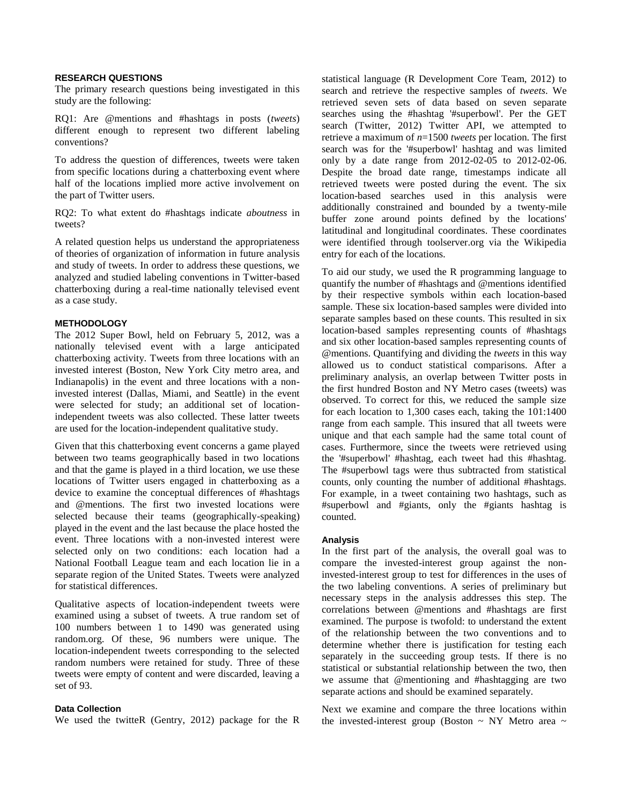## **RESEARCH QUESTIONS**

The primary research questions being investigated in this study are the following:

RQ1: Are @mentions and #hashtags in posts (*tweets*) different enough to represent two different labeling conventions?

To address the question of differences, tweets were taken from specific locations during a chatterboxing event where half of the locations implied more active involvement on the part of Twitter users.

RQ2: To what extent do #hashtags indicate *aboutness* in tweets?

A related question helps us understand the appropriateness of theories of organization of information in future analysis and study of tweets. In order to address these questions, we analyzed and studied labeling conventions in Twitter-based chatterboxing during a real-time nationally televised event as a case study.

# **METHODOLOGY**

The 2012 Super Bowl, held on February 5, 2012, was a nationally televised event with a large anticipated chatterboxing activity. Tweets from three locations with an invested interest (Boston, New York City metro area, and Indianapolis) in the event and three locations with a noninvested interest (Dallas, Miami, and Seattle) in the event were selected for study; an additional set of locationindependent tweets was also collected. These latter tweets are used for the location-independent qualitative study.

Given that this chatterboxing event concerns a game played between two teams geographically based in two locations and that the game is played in a third location, we use these locations of Twitter users engaged in chatterboxing as a device to examine the conceptual differences of #hashtags and @mentions. The first two invested locations were selected because their teams (geographically-speaking) played in the event and the last because the place hosted the event. Three locations with a non-invested interest were selected only on two conditions: each location had a National Football League team and each location lie in a separate region of the United States. Tweets were analyzed for statistical differences.

Qualitative aspects of location-independent tweets were examined using a subset of tweets. A true random set of 100 numbers between 1 to 1490 was generated using random.org. Of these, 96 numbers were unique. The location-independent tweets corresponding to the selected random numbers were retained for study. Three of these tweets were empty of content and were discarded, leaving a set of 93.

# **Data Collection**

We used the twitteR (Gentry, 2012) package for the R

statistical language (R Development Core Team, 2012) to search and retrieve the respective samples of *tweets*. We retrieved seven sets of data based on seven separate searches using the #hashtag '#superbowl'. Per the GET search (Twitter, 2012) Twitter API, we attempted to retrieve a maximum of *n*=1500 *tweets* per location. The first search was for the '#superbowl' hashtag and was limited only by a date range from 2012-02-05 to 2012-02-06. Despite the broad date range, timestamps indicate all retrieved tweets were posted during the event. The six location-based searches used in this analysis were additionally constrained and bounded by a twenty-mile buffer zone around points defined by the locations' latitudinal and longitudinal coordinates. These coordinates were identified through toolserver.org via the Wikipedia entry for each of the locations.

To aid our study, we used the R programming language to quantify the number of #hashtags and @mentions identified by their respective symbols within each location-based sample. These six location-based samples were divided into separate samples based on these counts. This resulted in six location-based samples representing counts of #hashtags and six other location-based samples representing counts of @mentions. Quantifying and dividing the *tweets* in this way allowed us to conduct statistical comparisons. After a preliminary analysis, an overlap between Twitter posts in the first hundred Boston and NY Metro cases (tweets) was observed. To correct for this, we reduced the sample size for each location to 1,300 cases each, taking the 101:1400 range from each sample. This insured that all tweets were unique and that each sample had the same total count of cases. Furthermore, since the tweets were retrieved using the '#superbowl' #hashtag, each tweet had this #hashtag. The #superbowl tags were thus subtracted from statistical counts, only counting the number of additional #hashtags. For example, in a tweet containing two hashtags, such as #superbowl and #giants, only the #giants hashtag is counted.

#### **Analysis**

In the first part of the analysis, the overall goal was to compare the invested-interest group against the noninvested-interest group to test for differences in the uses of the two labeling conventions. A series of preliminary but necessary steps in the analysis addresses this step. The correlations between @mentions and #hashtags are first examined. The purpose is twofold: to understand the extent of the relationship between the two conventions and to determine whether there is justification for testing each separately in the succeeding group tests. If there is no statistical or substantial relationship between the two, then we assume that @mentioning and #hashtagging are two separate actions and should be examined separately.

Next we examine and compare the three locations within the invested-interest group (Boston  $\sim$  NY Metro area  $\sim$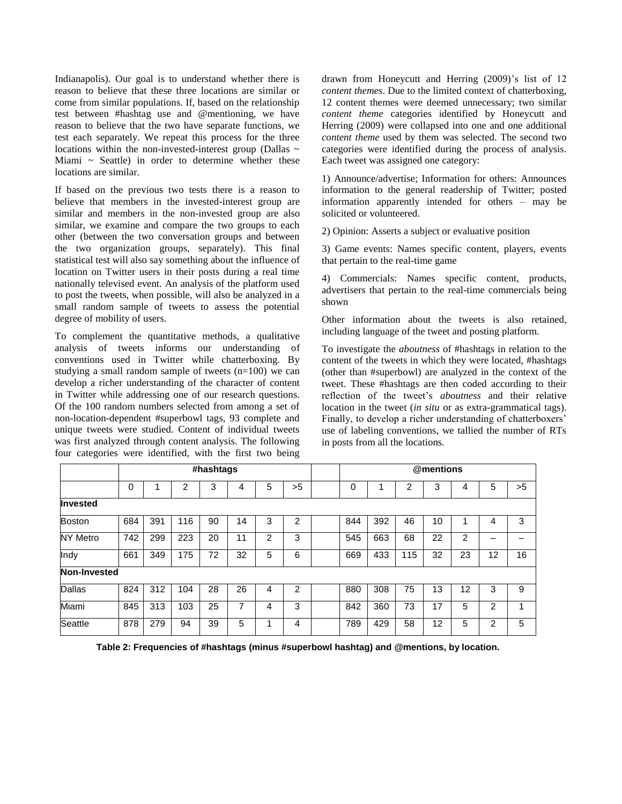Indianapolis). Our goal is to understand whether there is reason to believe that these three locations are similar or come from similar populations. If, based on the relationship test between #hashtag use and @mentioning, we have reason to believe that the two have separate functions, we test each separately. We repeat this process for the three locations within the non-invested-interest group (Dallas  $\sim$ Miami  $\sim$  Seattle) in order to determine whether these locations are similar.

If based on the previous two tests there is a reason to believe that members in the invested-interest group are similar and members in the non-invested group are also similar, we examine and compare the two groups to each other (between the two conversation groups and between the two organization groups, separately). This final statistical test will also say something about the influence of location on Twitter users in their posts during a real time nationally televised event. An analysis of the platform used to post the tweets, when possible, will also be analyzed in a small random sample of tweets to assess the potential degree of mobility of users.

To complement the quantitative methods, a qualitative analysis of tweets informs our understanding of conventions used in Twitter while chatterboxing. By studying a small random sample of tweets (n=100) we can develop a richer understanding of the character of content in Twitter while addressing one of our research questions. Of the 100 random numbers selected from among a set of non-location-dependent #superbowl tags, 93 complete and unique tweets were studied. Content of individual tweets was first analyzed through content analysis. The following four categories were identified, with the first two being

drawn from Honeycutt and Herring (2009)'s list of 12 *content themes*. Due to the limited context of chatterboxing, 12 content themes were deemed unnecessary; two similar *content theme* categories identified by Honeycutt and Herring (2009) were collapsed into one and one additional *content theme* used by them was selected. The second two categories were identified during the process of analysis. Each tweet was assigned one category:

1) Announce/advertise; Information for others: Announces information to the general readership of Twitter; posted information apparently intended for others – may be solicited or volunteered.

2) Opinion: Asserts a subject or evaluative position

3) Game events: Names specific content, players, events that pertain to the real-time game

4) Commercials: Names specific content, products, advertisers that pertain to the real-time commercials being shown

Other information about the tweets is also retained, including language of the tweet and posting platform.

To investigate the *aboutness* of #hashtags in relation to the content of the tweets in which they were located, #hashtags (other than #superbowl) are analyzed in the context of the tweet. These #hashtags are then coded according to their reflection of the tweet's *aboutness* and their relative location in the tweet (*in situ* or as extra-grammatical tags). Finally, to develop a richer understanding of chatterboxers' use of labeling conventions, we tallied the number of RTs in posts from all the locations.

|                 |              | #hashtags |     |    |    |   | @mentions |  |     |     |     |    |    |    |    |
|-----------------|--------------|-----------|-----|----|----|---|-----------|--|-----|-----|-----|----|----|----|----|
|                 | $\Omega$     |           | 2   | 3  | 4  | 5 | >5        |  | 0   |     | 2   | 3  | 4  | 5  | >5 |
| <b>Invested</b> |              |           |     |    |    |   |           |  |     |     |     |    |    |    |    |
| Boston          | 684          | 391       | 116 | 90 | 14 | 3 | 2         |  | 844 | 392 | 46  | 10 |    | 4  | 3  |
| <b>NY Metro</b> | 742          | 299       | 223 | 20 | 11 | 2 | 3         |  | 545 | 663 | 68  | 22 | 2  |    |    |
| Indy            | 661          | 349       | 175 | 72 | 32 | 5 | 6         |  | 669 | 433 | 115 | 32 | 23 | 12 | 16 |
|                 | Non-Invested |           |     |    |    |   |           |  |     |     |     |    |    |    |    |
| Dallas          | 824          | 312       | 104 | 28 | 26 | 4 | 2         |  | 880 | 308 | 75  | 13 | 12 | 3  | 9  |
| Miami           | 845          | 313       | 103 | 25 | 7  | 4 | 3         |  | 842 | 360 | 73  | 17 | 5  | 2  | 1  |
| Seattle         | 878          | 279       | 94  | 39 | 5  |   | 4         |  | 789 | 429 | 58  | 12 | 5  | 2  | 5  |

**Table 2: Frequencies of #hashtags (minus #superbowl hashtag) and @mentions, by location.**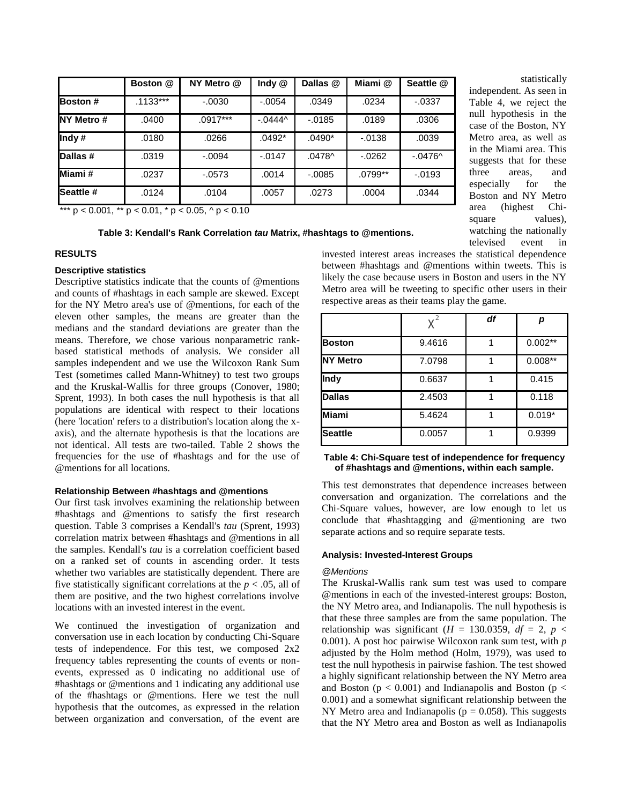|                   | Boston @   | NY Metro @ | Indy $@$  | Dallas @  | Miami @   | Seattle @ |
|-------------------|------------|------------|-----------|-----------|-----------|-----------|
| <b>Boston</b> #   | $.1133***$ | $-.0030$   | $-.0054$  | .0349     | .0234     | $-0.0337$ |
| <b>INY Metro#</b> | .0400      | $.0917***$ | $-0.0444$ | $-0.0185$ | .0189     | .0306     |
| Indy#             | .0180      | .0266      | .0492*    | $.0490*$  | $-0.0138$ | .0039     |
| Dallas #          | .0319      | $-.0094$   | $-.0147$  | $.0478^$  | $-0.0262$ | $-0476^$  |
| Miami#            | .0237      | $-.0573$   | .0014     | $-.0085$  | $.0799**$ | $-0.0193$ |
| Seattle #         | .0124      | .0104      | .0057     | .0273     | .0004     | .0344     |

\*\*\*  $p < 0.001$ , \*\*  $p < 0.01$ , \*  $p < 0.05$ , ^  $p < 0.10$ 

## **Table 3: Kendall's Rank Correlation** *tau* **Matrix, #hashtags to @mentions.**

## **RESULTS**

#### **Descriptive statistics**

Descriptive statistics indicate that the counts of @mentions and counts of #hashtags in each sample are skewed. Except for the NY Metro area's use of @mentions, for each of the eleven other samples, the means are greater than the medians and the standard deviations are greater than the means. Therefore, we chose various nonparametric rankbased statistical methods of analysis. We consider all samples independent and we use the Wilcoxon Rank Sum Test (sometimes called Mann-Whitney) to test two groups and the Kruskal-Wallis for three groups (Conover, 1980; Sprent, 1993). In both cases the null hypothesis is that all populations are identical with respect to their locations (here 'location' refers to a distribution's location along the xaxis), and the alternate hypothesis is that the locations are not identical. All tests are two-tailed. Table 2 shows the frequencies for the use of #hashtags and for the use of @mentions for all locations.

## **Relationship Between #hashtags and @mentions**

Our first task involves examining the relationship between #hashtags and @mentions to satisfy the first research question. Table 3 comprises a Kendall's *tau* (Sprent, 1993) correlation matrix between #hashtags and @mentions in all the samples. Kendall's *tau* is a correlation coefficient based on a ranked set of counts in ascending order. It tests whether two variables are statistically dependent. There are five statistically significant correlations at the *p* < .05, all of them are positive, and the two highest correlations involve locations with an invested interest in the event.

We continued the investigation of organization and conversation use in each location by conducting Chi-Square tests of independence. For this test, we composed 2x2 frequency tables representing the counts of events or nonevents, expressed as 0 indicating no additional use of #hashtags or @mentions and 1 indicating any additional use of the #hashtags or @mentions. Here we test the null hypothesis that the outcomes, as expressed in the relation between organization and conversation, of the event are

statistically independent. As seen in Table 4, we reject the null hypothesis in the case of the Boston, NY Metro area, as well as in the Miami area. This suggests that for these three areas, and especially for the Boston and NY Metro area (highest Chisquare values), watching the nationally televised event in

invested interest areas increases the statistical dependence between #hashtags and @mentions within tweets. This is likely the case because users in Boston and users in the NY Metro area will be tweeting to specific other users in their respective areas as their teams play the game.

|                 |        | df | р         |
|-----------------|--------|----|-----------|
| <b>Boston</b>   | 9.4616 |    | $0.002**$ |
| <b>NY Metro</b> | 7.0798 |    | $0.008**$ |
| Indy            | 0.6637 |    | 0.415     |
| <b>Dallas</b>   | 2.4503 |    | 0.118     |
| <b>Miami</b>    | 5.4624 |    | $0.019*$  |
| <b>Seattle</b>  | 0.0057 |    | 0.9399    |

## **Table 4: Chi-Square test of independence for frequency of #hashtags and @mentions, within each sample.**

This test demonstrates that dependence increases between conversation and organization. The correlations and the Chi-Square values, however, are low enough to let us conclude that #hashtagging and @mentioning are two separate actions and so require separate tests.

#### **Analysis: Invested-Interest Groups**

#### *@Mentions*

The Kruskal-Wallis rank sum test was used to compare @mentions in each of the invested-interest groups: Boston, the NY Metro area, and Indianapolis. The null hypothesis is that these three samples are from the same population. The relationship was significant ( $H = 130.0359$ ,  $df = 2$ ,  $p <$ 0.001). A post hoc pairwise Wilcoxon rank sum test, with *p* adjusted by the Holm method (Holm, 1979), was used to test the null hypothesis in pairwise fashion. The test showed a highly significant relationship between the NY Metro area and Boston ( $p < 0.001$ ) and Indianapolis and Boston ( $p <$ 0.001) and a somewhat significant relationship between the NY Metro area and Indianapolis ( $p = 0.058$ ). This suggests that the NY Metro area and Boston as well as Indianapolis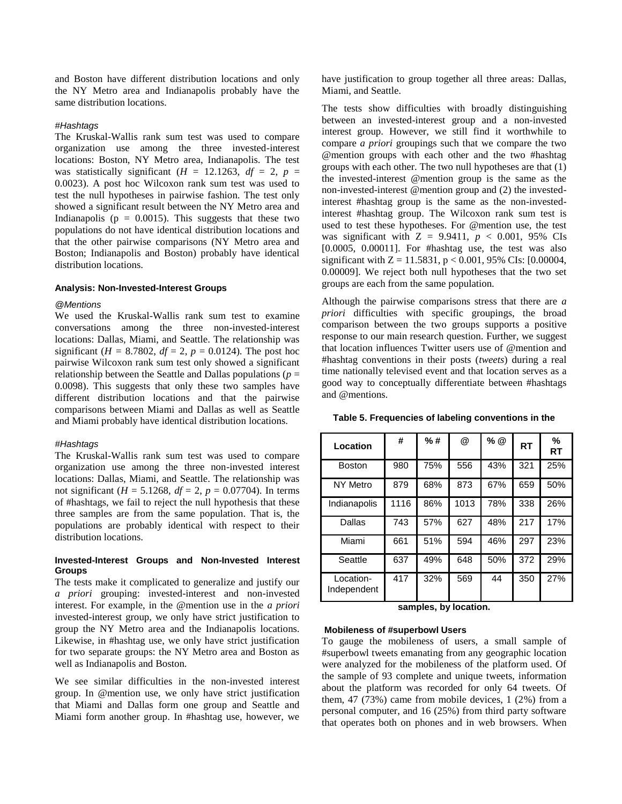and Boston have different distribution locations and only the NY Metro area and Indianapolis probably have the same distribution locations.

#### *#Hashtags*

The Kruskal-Wallis rank sum test was used to compare organization use among the three invested-interest locations: Boston, NY Metro area, Indianapolis. The test was statistically significant ( $H = 12.1263$ ,  $df = 2$ ,  $p =$ 0.0023). A post hoc Wilcoxon rank sum test was used to test the null hypotheses in pairwise fashion. The test only showed a significant result between the NY Metro area and Indianapolis ( $p = 0.0015$ ). This suggests that these two populations do not have identical distribution locations and that the other pairwise comparisons (NY Metro area and Boston; Indianapolis and Boston) probably have identical distribution locations.

#### **Analysis: Non-Invested-Interest Groups**

#### *@Mentions*

We used the Kruskal-Wallis rank sum test to examine conversations among the three non-invested-interest locations: Dallas, Miami, and Seattle. The relationship was significant ( $H = 8.7802$ ,  $df = 2$ ,  $p = 0.0124$ ). The post hoc pairwise Wilcoxon rank sum test only showed a significant relationship between the Seattle and Dallas populations ( $p =$ 0.0098). This suggests that only these two samples have different distribution locations and that the pairwise comparisons between Miami and Dallas as well as Seattle and Miami probably have identical distribution locations.

#### *#Hashtags*

The Kruskal-Wallis rank sum test was used to compare organization use among the three non-invested interest locations: Dallas, Miami, and Seattle. The relationship was not significant ( $H = 5.1268$ ,  $df = 2$ ,  $p = 0.07704$ ). In terms of #hashtags, we fail to reject the null hypothesis that these three samples are from the same population. That is, the populations are probably identical with respect to their distribution locations.

## **Invested-Interest Groups and Non-Invested Interest Groups**

The tests make it complicated to generalize and justify our *a priori* grouping: invested-interest and non-invested interest. For example, in the @mention use in the *a priori*  invested-interest group, we only have strict justification to group the NY Metro area and the Indianapolis locations. Likewise, in #hashtag use, we only have strict justification for two separate groups: the NY Metro area and Boston as well as Indianapolis and Boston.

We see similar difficulties in the non-invested interest group. In @mention use, we only have strict justification that Miami and Dallas form one group and Seattle and Miami form another group. In #hashtag use, however, we

have justification to group together all three areas: Dallas, Miami, and Seattle.

The tests show difficulties with broadly distinguishing between an invested-interest group and a non-invested interest group. However, we still find it worthwhile to compare *a priori* groupings such that we compare the two @mention groups with each other and the two #hashtag groups with each other. The two null hypotheses are that (1) the invested-interest @mention group is the same as the non-invested-interest @mention group and (2) the investedinterest #hashtag group is the same as the non-investedinterest #hashtag group. The Wilcoxon rank sum test is used to test these hypotheses. For @mention use, the test was significant with  $Z = 9.9411$ ,  $p < 0.001$ , 95% CIs [0.0005, 0.00011]. For #hashtag use, the test was also significant with  $Z = 11.5831$ ,  $p < 0.001$ , 95% CIs: [0.00004, 0.00009]. We reject both null hypotheses that the two set groups are each from the same population.

Although the pairwise comparisons stress that there are *a priori* difficulties with specific groupings, the broad comparison between the two groups supports a positive response to our main research question. Further, we suggest that location influences Twitter users use of @mention and #hashtag conventions in their posts (*tweets*) during a real time nationally televised event and that location serves as a good way to conceptually differentiate between #hashtags and @mentions.

**Table 5. Frequencies of labeling conventions in the** 

| Location                 | #    | %#  | @    | % @ | <b>RT</b> | %<br><b>RT</b> |
|--------------------------|------|-----|------|-----|-----------|----------------|
| <b>Boston</b>            | 980  | 75% | 556  | 43% | 321       | 25%            |
| NY Metro                 | 879  | 68% | 873  | 67% | 659       | 50%            |
| Indianapolis             | 1116 | 86% | 1013 | 78% | 338       | 26%            |
| Dallas                   | 743  | 57% | 627  | 48% | 217       | 17%            |
| Miami                    | 661  | 51% | 594  | 46% | 297       | 23%            |
| Seattle                  | 637  | 49% | 648  | 50% | 372       | 29%            |
| Location-<br>Independent | 417  | 32% | 569  | 44  | 350       | 27%            |

**samples, by location.**

#### **Mobileness of #superbowl Users**

To gauge the mobileness of users, a small sample of #superbowl tweets emanating from any geographic location were analyzed for the mobileness of the platform used. Of the sample of 93 complete and unique tweets, information about the platform was recorded for only 64 tweets. Of them, 47 (73%) came from mobile devices, 1 (2%) from a personal computer, and 16 (25%) from third party software that operates both on phones and in web browsers. When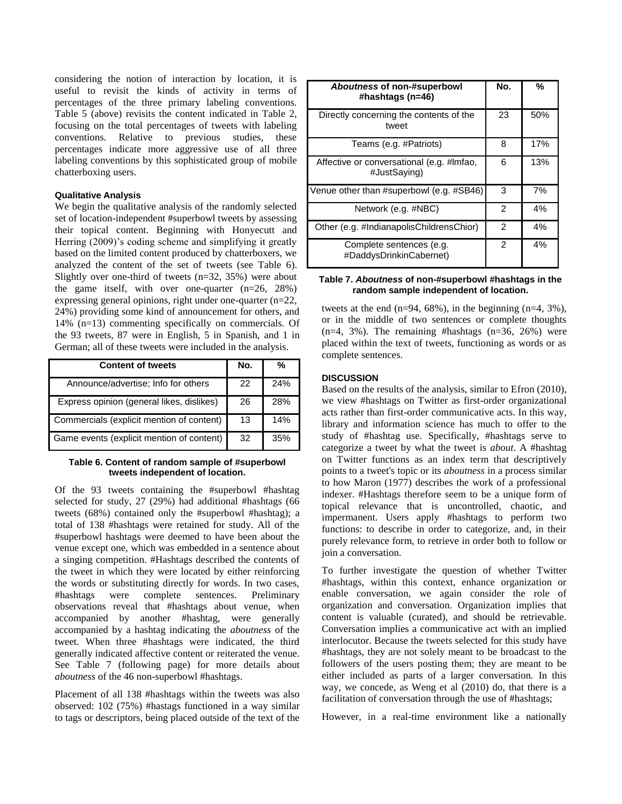considering the notion of interaction by location, it is useful to revisit the kinds of activity in terms of percentages of the three primary labeling conventions. Table 5 (above) revisits the content indicated in Table 2, focusing on the total percentages of tweets with labeling conventions. Relative to previous studies, these percentages indicate more aggressive use of all three labeling conventions by this sophisticated group of mobile chatterboxing users.

## **Qualitative Analysis**

We begin the qualitative analysis of the randomly selected set of location-independent #superbowl tweets by assessing their topical content. Beginning with Honyecutt and Herring (2009)'s coding scheme and simplifying it greatly based on the limited content produced by chatterboxers, we analyzed the content of the set of tweets (see Table 6). Slightly over one-third of tweets  $(n=32, 35%)$  were about the game itself, with over one-quarter (n=26, 28%) expressing general opinions, right under one-quarter (n=22, 24%) providing some kind of announcement for others, and 14% (n=13) commenting specifically on commercials. Of the 93 tweets, 87 were in English, 5 in Spanish, and 1 in German; all of these tweets were included in the analysis.

| <b>Content of tweets</b>                  | No. | %   |
|-------------------------------------------|-----|-----|
| Announce/advertise; Info for others       | 22  | 24% |
| Express opinion (general likes, dislikes) | 26  | 28% |
| Commercials (explicit mention of content) | 13  | 14% |
| Game events (explicit mention of content) | 32  | 35% |

## **Table 6. Content of random sample of #superbowl tweets independent of location.**

Of the 93 tweets containing the #superbowl #hashtag selected for study, 27 (29%) had additional #hashtags (66 tweets (68%) contained only the #superbowl #hashtag); a total of 138 #hashtags were retained for study. All of the #superbowl hashtags were deemed to have been about the venue except one, which was embedded in a sentence about a singing competition. #Hashtags described the contents of the tweet in which they were located by either reinforcing the words or substituting directly for words. In two cases, #hashtags were complete sentences. Preliminary observations reveal that #hashtags about venue, when accompanied by another #hashtag, were generally accompanied by a hashtag indicating the *aboutness* of the tweet. When three #hashtags were indicated, the third generally indicated affective content or reiterated the venue. See Table 7 (following page) for more details about *aboutness* of the 46 non-superbowl #hashtags.

Placement of all 138 #hashtags within the tweets was also observed: 102 (75%) #hastags functioned in a way similar to tags or descriptors, being placed outside of the text of the

| Aboutness of non-#superbowl<br>#hashtags (n=46)           | No.            | %   |
|-----------------------------------------------------------|----------------|-----|
| Directly concerning the contents of the<br>tweet          | 23             | 50% |
| Teams (e.g. #Patriots)                                    | 8              | 17% |
| Affective or conversational (e.g. #Imfao,<br>#JustSaying) | 6              | 13% |
| Venue other than #superbowl (e.g. #SB46)                  | 3              | 7%  |
| Network (e.g. #NBC)                                       | 2              | 4%  |
| Other (e.g. #IndianapolisChildrensChior)                  | $\mathfrak{p}$ | 4%  |
| Complete sentences (e.g.<br>#DaddysDrinkinCabernet)       | 2              | 4%  |

## **Table 7.** *Aboutness* **of non-#superbowl #hashtags in the random sample independent of location.**

tweets at the end  $(n=94, 68\%)$ , in the beginning  $(n=4, 3\%)$ , or in the middle of two sentences or complete thoughts  $(n=4, 3\%)$ . The remaining #hashtags  $(n=36, 26\%)$  were placed within the text of tweets, functioning as words or as complete sentences.

# **DISCUSSION**

Based on the results of the analysis, similar to Efron (2010), we view #hashtags on Twitter as first-order organizational acts rather than first-order communicative acts. In this way, library and information science has much to offer to the study of #hashtag use. Specifically, #hashtags serve to categorize a tweet by what the tweet is *about*. A #hashtag on Twitter functions as an index term that descriptively points to a tweet's topic or its *aboutness* in a process similar to how Maron (1977) describes the work of a professional indexer. #Hashtags therefore seem to be a unique form of topical relevance that is uncontrolled, chaotic, and impermanent. Users apply #hashtags to perform two functions: to describe in order to categorize, and, in their purely relevance form, to retrieve in order both to follow or join a conversation.

To further investigate the question of whether Twitter #hashtags, within this context, enhance organization or enable conversation, we again consider the role of organization and conversation. Organization implies that content is valuable (curated), and should be retrievable. Conversation implies a communicative act with an implied interlocutor. Because the tweets selected for this study have #hashtags, they are not solely meant to be broadcast to the followers of the users posting them; they are meant to be either included as parts of a larger conversation. In this way, we concede, as Weng et al (2010) do, that there is a facilitation of conversation through the use of #hashtags;

However, in a real-time environment like a nationally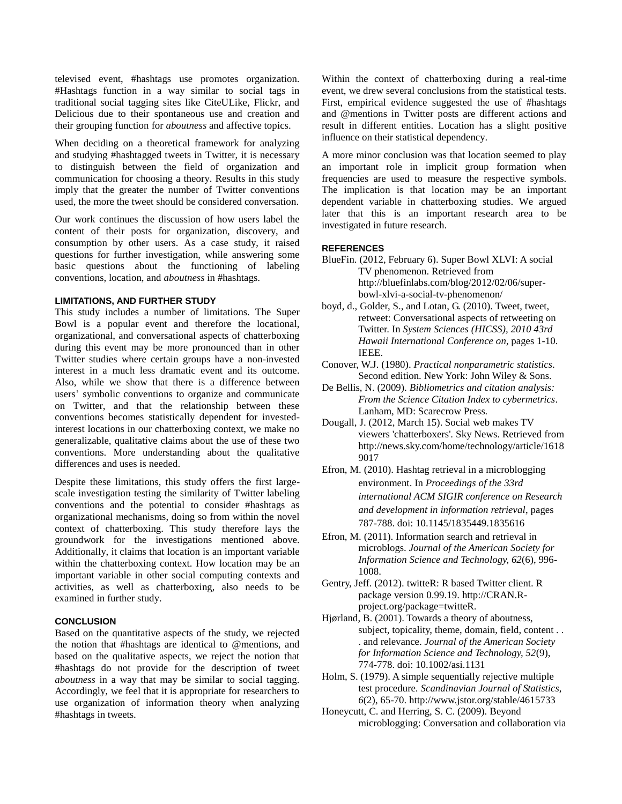televised event, #hashtags use promotes organization. #Hashtags function in a way similar to social tags in traditional social tagging sites like CiteULike, Flickr, and Delicious due to their spontaneous use and creation and their grouping function for *aboutness* and affective topics.

When deciding on a theoretical framework for analyzing and studying #hashtagged tweets in Twitter, it is necessary to distinguish between the field of organization and communication for choosing a theory. Results in this study imply that the greater the number of Twitter conventions used, the more the tweet should be considered conversation.

Our work continues the discussion of how users label the content of their posts for organization, discovery, and consumption by other users. As a case study, it raised questions for further investigation, while answering some basic questions about the functioning of labeling conventions, location, and *aboutness* in #hashtags.

# **LIMITATIONS, AND FURTHER STUDY**

This study includes a number of limitations. The Super Bowl is a popular event and therefore the locational, organizational, and conversational aspects of chatterboxing during this event may be more pronounced than in other Twitter studies where certain groups have a non-invested interest in a much less dramatic event and its outcome. Also, while we show that there is a difference between users' symbolic conventions to organize and communicate on Twitter, and that the relationship between these conventions becomes statistically dependent for investedinterest locations in our chatterboxing context, we make no generalizable, qualitative claims about the use of these two conventions. More understanding about the qualitative differences and uses is needed.

Despite these limitations, this study offers the first largescale investigation testing the similarity of Twitter labeling conventions and the potential to consider #hashtags as organizational mechanisms, doing so from within the novel context of chatterboxing. This study therefore lays the groundwork for the investigations mentioned above. Additionally, it claims that location is an important variable within the chatterboxing context. How location may be an important variable in other social computing contexts and activities, as well as chatterboxing, also needs to be examined in further study.

#### **CONCLUSION**

Based on the quantitative aspects of the study, we rejected the notion that #hashtags are identical to @mentions, and based on the qualitative aspects, we reject the notion that #hashtags do not provide for the description of tweet *aboutness* in a way that may be similar to social tagging. Accordingly, we feel that it is appropriate for researchers to use organization of information theory when analyzing #hashtags in tweets.

Within the context of chatterboxing during a real-time event, we drew several conclusions from the statistical tests. First, empirical evidence suggested the use of #hashtags and @mentions in Twitter posts are different actions and result in different entities. Location has a slight positive influence on their statistical dependency.

A more minor conclusion was that location seemed to play an important role in implicit group formation when frequencies are used to measure the respective symbols. The implication is that location may be an important dependent variable in chatterboxing studies. We argued later that this is an important research area to be investigated in future research.

# **REFERENCES**

- BlueFin. (2012, February 6). Super Bowl XLVI: A social TV phenomenon. Retrieved from http://bluefinlabs.com/blog/2012/02/06/superbowl-xlvi-a-social-tv-phenomenon/
- boyd, d., Golder, S., and Lotan, G. (2010). Tweet, tweet, retweet: Conversational aspects of retweeting on Twitter. In *System Sciences (HICSS), 2010 43rd Hawaii International Conference on*, pages 1-10. IEEE.
- Conover, W.J. (1980). *Practical nonparametric statistics*. Second edition. New York: John Wiley & Sons.
- De Bellis, N. (2009). *Bibliometrics and citation analysis: From the Science Citation Index to cybermetrics*. Lanham, MD: Scarecrow Press.
- Dougall, J. (2012, March 15). Social web makes TV viewers 'chatterboxers'. Sky News. Retrieved from http://news.sky.com/home/technology/article/1618 9017
- Efron, M. (2010). Hashtag retrieval in a microblogging environment. In *Proceedings of the 33rd international ACM SIGIR conference on Research and development in information retrieval*, pages 787-788. doi: 10.1145/1835449.1835616
- Efron, M. (2011). Information search and retrieval in microblogs. *Journal of the American Society for Information Science and Technology, 62*(6), 996- 1008.
- Gentry, Jeff. (2012). twitteR: R based Twitter client. R package version 0.99.19. http://CRAN.Rproject.org/package=twitteR.
- Hjørland, B. (2001). Towards a theory of aboutness, subject, topicality, theme, domain, field, content . . . and relevance. *Journal of the American Society for Information Science and Technology, 52*(9), 774-778. doi: 10.1002/asi.1131
- Holm, S. (1979). A simple sequentially rejective multiple test procedure. *Scandinavian Journal of Statistics, 6*(2), 65-70. http://www.jstor.org/stable/4615733
- Honeycutt, C. and Herring, S. C. (2009). Beyond microblogging: Conversation and collaboration via